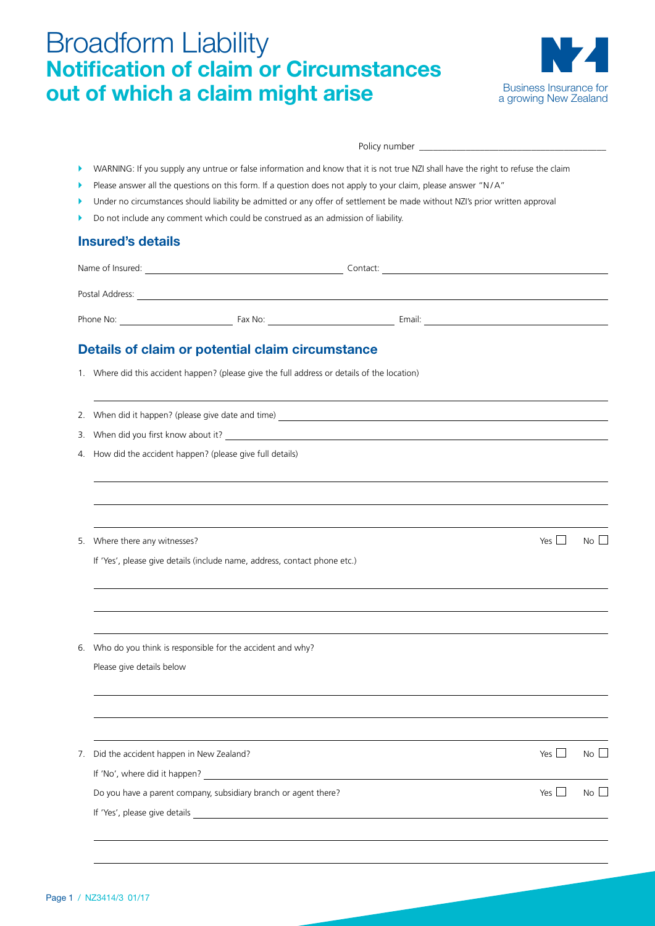# Broadform Liability **Notification of claim or Circumstances out of which a claim might arise**



Policy number \_

- `` WARNING: If you supply any untrue or false information and know that it is not true NZI shall have the right to refuse the claim
- Please answer all the questions on this form. If a question does not apply to your claim, please answer "N/A"
- Under no circumstances should liability be admitted or any offer of settlement be made without NZI's prior written approval
- Do not include any comment which could be construed as an admission of liability.

#### **Insured's details**

| Name of Insured: |         | Contact: |
|------------------|---------|----------|
| Postal Address:  |         |          |
|                  |         |          |
| Phone No:        | Fax No: | Email:   |

#### **Details of claim or potential claim circumstance**

1. Where did this accident happen? (please give the full address or details of the location)

2. When did it happen? (please give date and time)

- 3. When did you first know about it?
- 4. How did the accident happen? (please give full details)

5. Where there any witnesses?

If 'Yes', please give details (include name, address, contact phone etc.)

| Voc |  | N∩ |  |
|-----|--|----|--|

6. Who do you think is responsible for the accident and why?

Please give details below

7. Did the accident happen in New Zealand?  $\blacksquare$  Yes  $\blacksquare$  No  $\blacksquare$ If 'No', where did it happen? Do you have a parent company, subsidiary branch or agent there?  $\Box$  Yes  $\Box$  No  $\Box$ If 'Yes', please give details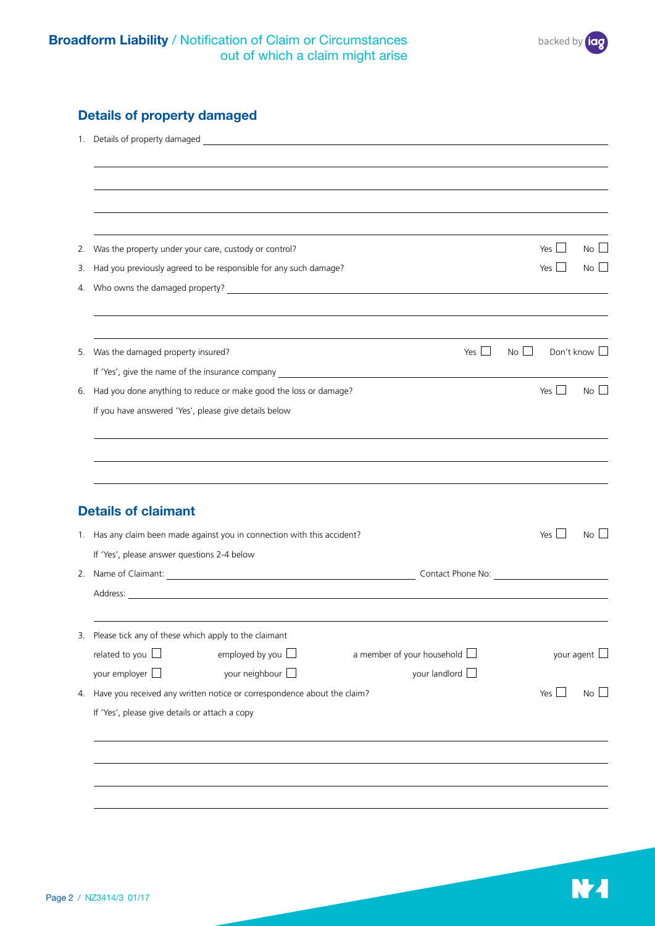## **Details of property damaged**

| 2. | Was the property under your care, custody or control?                                      | $\mathcal{L}$<br>Yes L | No l                 |
|----|--------------------------------------------------------------------------------------------|------------------------|----------------------|
| 3. | Had you previously agreed to be responsible for any such damage?                           | Yes $\vert$ $\vert$    | No l                 |
| 4. |                                                                                            |                        |                      |
|    | Yes $\Box$<br>No<br>5. Was the damaged property insured?                                   |                        | Don't know $\square$ |
|    |                                                                                            |                        |                      |
| 6. | Had you done anything to reduce or make good the loss or damage?                           | Yes                    | No                   |
|    | If you have answered 'Yes', please give details below                                      |                        |                      |
|    |                                                                                            |                        |                      |
|    | <b>Details of claimant</b>                                                                 |                        |                      |
|    | 1. Has any claim been made against you in connection with this accident?                   | Yes                    | No <sub>1</sub>      |
|    | If 'Yes', please answer questions 2-4 below                                                |                        |                      |
|    | Contact Phone No: 2008                                                                     |                        |                      |
|    |                                                                                            |                        |                      |
|    | 3. Please tick any of these which apply to the claimant                                    |                        |                      |
|    | related to you $\square$<br>employed by you $\square$<br>a member of your household $\Box$ |                        | your agent $\square$ |
|    | your employer $\square$<br>your neighbour $\square$<br>your landlord $\Box$                |                        |                      |
| 4. | Have you received any written notice or correspondence about the claim?                    | Yes $\Box$             | $No$ $\Box$          |
|    | If 'Yes', please give details or attach a copy                                             |                        |                      |
|    |                                                                                            |                        |                      |
|    |                                                                                            |                        |                      |
|    |                                                                                            |                        |                      |
|    |                                                                                            |                        |                      |